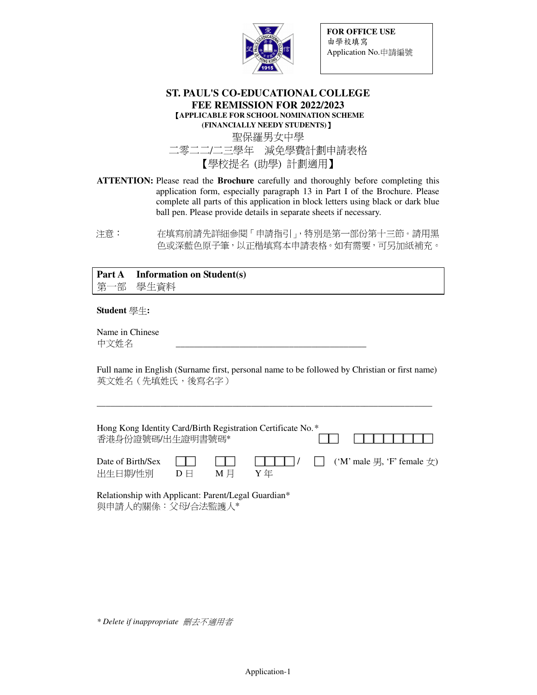

**FOR OFFICE USE**  由學校填寫 Application No.申請編號

#### **ST. PAUL'S CO-EDUCATIONAL COLLEGE FEE REMISSION FOR 2022/2023**  【**APPLICABLE FOR SCHOOL NOMINATION SCHEME (FINANCIALLY NEEDY STUDENTS)**】

聖保羅男女中學 二零二二/二三學年 減免學費計劃申請表格 【學校提名 (助學) 計劃適用】

- **ATTENTION:** Please read the **Brochure** carefully and thoroughly before completing this application form, especially paragraph 13 in Part I of the Brochure. Please complete all parts of this application in block letters using black or dark blue ball pen. Please provide details in separate sheets if necessary.
- 注意: 在填寫前請先詳細參閱「申請指引」,特別是第一部份第十三節。請用黑 色或深藍色原子筆,以正楷填寫本申請表格。如有需要,可另加紙補充。

**Part A Information on Student(s)**  第一部 學生資料

#### **Student** 學生**:**

Name in Chinese 中文姓名

Full name in English (Surname first, personal name to be followed by Christian or first name) 英文姓名(先填姓氏,後寫名字)

\_\_\_\_\_\_\_\_\_\_\_\_\_\_\_\_\_\_\_\_\_\_\_\_\_\_\_\_\_\_\_\_\_\_\_\_\_\_\_\_\_\_\_\_\_\_\_\_\_\_\_\_\_\_\_\_\_\_\_\_\_\_\_\_\_\_\_\_\_\_\_\_\_\_

| Hong Kong Identity Card/Birth Registration Certificate No.*<br>香港身份證號碼/出生證明書號碼* |                               |                                     |     | .                                                            |
|---------------------------------------------------------------------------------|-------------------------------|-------------------------------------|-----|--------------------------------------------------------------|
| Date of Birth/Sex<br>出生日期/性別                                                    | $\mathbf{1}$<br>$D \boxminus$ | $\sim$ 1 1 1 $\sim$<br>$M \n\equiv$ | Y 年 | $\Box$ / $\Box$ ('M' male $\exists$ , 'F' female $\forall$ ) |

Relationship with Applicant: Parent/Legal Guardian\* 與申請人的關係:父母/合法監護人\*

*\* Delete if inappropriate* 刪去不適用者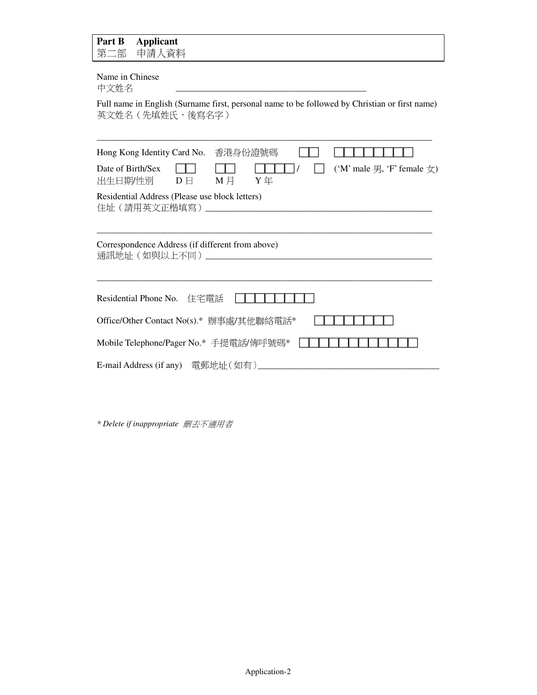| Part B<br><b>Applicant</b><br>第二部<br>申請人資料                                                                                        |  |  |  |  |  |  |
|-----------------------------------------------------------------------------------------------------------------------------------|--|--|--|--|--|--|
| Name in Chinese<br>中文姓名                                                                                                           |  |  |  |  |  |  |
| Full name in English (Surname first, personal name to be followed by Christian or first name)<br>英文姓名 (先填姓氏, 後寫名字)                |  |  |  |  |  |  |
| Hong Kong Identity Card No.<br>香港身份證號碼                                                                                            |  |  |  |  |  |  |
| ('M' male $\overline{H}$ , 'F' female $\overline{\mathcal{L}}$ )<br>Date of Birth/Sex<br>$M \nvert A$ $Y \nvert A$<br>出生日期/性別  D日 |  |  |  |  |  |  |
| Residential Address (Please use block letters)<br>住址(請用英文正楷填寫)_______________________                                             |  |  |  |  |  |  |
| Correspondence Address (if different from above)                                                                                  |  |  |  |  |  |  |
| Residential Phone No. 住宅電話                                                                                                        |  |  |  |  |  |  |
| Office/Other Contact No(s).* 辦事處/其他聯絡電話*                                                                                          |  |  |  |  |  |  |
| Mobile Telephone/Pager No.* 手提電話/傳呼號碼*                                                                                            |  |  |  |  |  |  |
|                                                                                                                                   |  |  |  |  |  |  |

*\* Delete if inappropriate* 刪去不適用者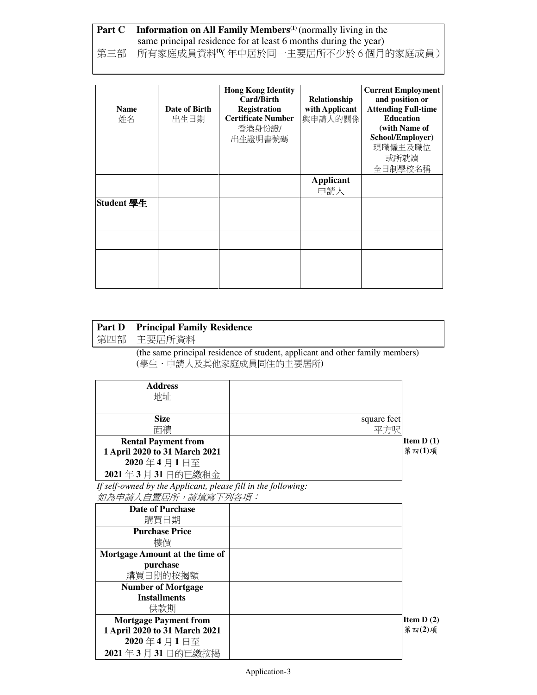## **Part C** Information on All Family Members<sup>(1)</sup> (normally living in the same principal residence for at least 6 months during the year) 第三部 所有家庭成員資料"(年中居於同一主要居所不少於 6 個月的家庭成員)

| <b>Name</b><br>姓名 | Date of Birth<br>出生日期 | <b>Hong Kong Identity</b><br>Card/Birth<br><b>Registration</b><br><b>Certificate Number</b><br>香港身份證/<br>出生證明書號碼 | Relationship<br>with Applicant<br>與申請人的關係 | <b>Current Employment</b><br>and position or<br><b>Attending Full-time</b><br><b>Education</b><br>(with Name of<br>School/Employer)<br>現職僱主及職位<br>或所就讀<br>全日制學校名稱 |
|-------------------|-----------------------|------------------------------------------------------------------------------------------------------------------|-------------------------------------------|-------------------------------------------------------------------------------------------------------------------------------------------------------------------|
|                   |                       |                                                                                                                  | Applicant<br>申請人                          |                                                                                                                                                                   |
| Student 學生        |                       |                                                                                                                  |                                           |                                                                                                                                                                   |
|                   |                       |                                                                                                                  |                                           |                                                                                                                                                                   |
|                   |                       |                                                                                                                  |                                           |                                                                                                                                                                   |
|                   |                       |                                                                                                                  |                                           |                                                                                                                                                                   |

| <b>Part D</b><br>第四部 | <b>Principal Family Residence</b><br>主要居所資料                   |                                                                                                         |                     |
|----------------------|---------------------------------------------------------------|---------------------------------------------------------------------------------------------------------|---------------------|
|                      |                                                               | (the same principal residence of student, applicant and other family members)<br>(學生、申請人及其他家庭成員同住的主要居所) |                     |
|                      | <b>Address</b><br>地址                                          |                                                                                                         |                     |
|                      | <b>Size</b>                                                   | square feet                                                                                             |                     |
|                      | 面積                                                            | 平方呎                                                                                                     |                     |
|                      | <b>Rental Payment from</b>                                    |                                                                                                         | <b>Item D</b> $(1)$ |
|                      | 1 April 2020 to 31 March 2021                                 |                                                                                                         | 第四 $(1)$ 項          |
|                      | 2020年4月1日至                                                    |                                                                                                         |                     |
|                      | 2021年3月31日的已繳租金                                               |                                                                                                         |                     |
|                      | If self-owned by the Applicant, please fill in the following: |                                                                                                         |                     |
|                      | 如為申請人自置居所,請填寫下列各項:                                            |                                                                                                         |                     |
|                      | Date of Purchase                                              |                                                                                                         |                     |

| <b>Date of Purchase</b><br>購買日期 |             |
|---------------------------------|-------------|
| <b>Purchase Price</b><br>樓價     |             |
| Mortgage Amount at the time of  |             |
| purchase<br>購買日期的按揭額            |             |
| <b>Number of Mortgage</b>       |             |
| <b>Installments</b><br>供款期      |             |
| <b>Mortgage Payment from</b>    | Item $D(2)$ |
| 1 April 2020 to 31 March 2021   | 第四(2)項      |
| 2020年4月1日至                      |             |
| 2021年3月31日的已繳按揭                 |             |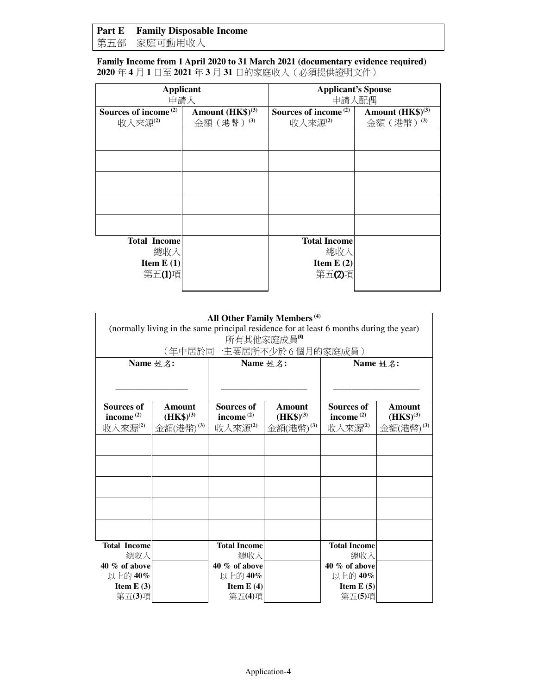## **Part E Family Disposable Income**

第五部 家庭可動用收入

**Family Income from 1 April 2020 to 31 March 2021 (documentary evidence required) 2020** 年 **4** 月 **1** 日至 **2021** 年 **3** 月 **31** 日的家庭收入(必須提供證明文件)

| <b>Applicant</b><br>申請人                             |                                           | <b>Applicant's Spouse</b><br>申請人配偶                  |                                           |
|-----------------------------------------------------|-------------------------------------------|-----------------------------------------------------|-------------------------------------------|
| Sources of income <sup>(2)</sup><br>收入來源(2)         | Amount (HK\$) <sup>(3)</sup><br>金額(港幣)(3) | Sources of income <sup>(2)</sup><br>收入來源(2)         | Amount $(HK\$ <sup>(3)</sup><br>金額(港幣)(3) |
|                                                     |                                           |                                                     |                                           |
|                                                     |                                           |                                                     |                                           |
|                                                     |                                           |                                                     |                                           |
|                                                     |                                           |                                                     |                                           |
|                                                     |                                           |                                                     |                                           |
| <b>Total Income</b><br>總收入<br>Item $E(1)$<br>第五(1)項 |                                           | <b>Total Income</b><br>總收入<br>Item $E(2)$<br>第五(2)項 |                                           |

|                                              | (normally living in the same principal residence for at least 6 months during the year) |                                       | All Other Family Members <sup>(4)</sup>      |                                              |                                              |
|----------------------------------------------|-----------------------------------------------------------------------------------------|---------------------------------------|----------------------------------------------|----------------------------------------------|----------------------------------------------|
|                                              |                                                                                         | 所有其他家庭成員"                             | (年中居於同一主要居所不少於6個月的家庭成員)                      |                                              |                                              |
| Name 姓名:                                     |                                                                                         | Name 姓名:                              |                                              | Name 姓名:                                     |                                              |
| <b>Sources of</b><br>income $(2)$<br>收入來源(2) | Amount<br>$(HK\$ <sup>(3)</sup><br>金額(港幣)(3)                                            | Sources of<br>income $(2)$<br>收入來源(2) | Amount<br>$(HK\$ <sup>(3)</sup><br>金額(港幣)(3) | <b>Sources of</b><br>income $(2)$<br>收入來源(2) | Amount<br>$(HK\$ <sup>(3)</sup><br>金額(港幣)(3) |
|                                              |                                                                                         |                                       |                                              |                                              |                                              |
|                                              |                                                                                         |                                       |                                              |                                              |                                              |
|                                              |                                                                                         |                                       |                                              |                                              |                                              |
| <b>Total Income</b><br>總收入                   |                                                                                         | <b>Total Income</b><br>總收入            |                                              | <b>Total Income</b><br>總收入                   |                                              |
| 40 % of above<br>以上的40%                      |                                                                                         | 40 % of above<br>以上的40%               |                                              | 40 % of above<br>以上的40%                      |                                              |
| Item $E(3)$<br>第五(3)項                        |                                                                                         | Item $E(4)$<br>第五(4)項                 |                                              | Item $E(5)$<br>第五(5)項                        |                                              |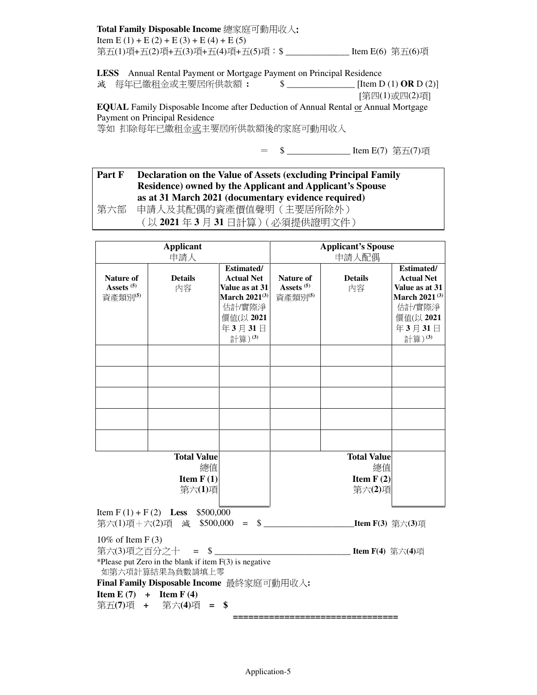#### **Total Family Disposable Income** 總家庭可動用收入: Item E (1) + E (2) + E (3) + E (4) + E (5) 第五(1)項+五(2)項+五(3)項+五(4)項+五(5)項:\$ \_\_\_\_\_\_\_\_\_\_\_\_\_\_ Item E(6) 第五(6)項

**LESS** Annual Rental Payment or Mortgage Payment on Principal Residence

減 每年已繳租金或主要居所供款額 **:** \$ \_\_\_\_\_\_\_\_\_\_\_\_\_\_\_ [Item D (1) **OR** D (2)]

[第四(1)或四(2)項]

**EQUAL** Family Disposable Income after Deduction of Annual Rental or Annual Mortgage Payment on Principal Residence 等如 扣除每年已繳租金或主要居所供款額後的家庭可動用收入

= \$ \_\_\_\_\_\_\_\_\_\_\_\_\_\_\_\_\_\_ Item E(7) 第五(7)項

### **Part F Declaration on the Value of Assets (excluding Principal Family Residence) owned by the Applicant and Applicant's Spouse as at 31 March 2021 (documentary evidence required)**

第六部 申請人及其配偶的資產價值聲明(主要居所除外) (以 **2021** 年 **3** 月 **31** 日計算)(必須提供證明文件)

|                                               | <b>Applicant</b><br>申請人                                                                                        |                                                                                                                           |                                                      | <b>Applicant's Spouse</b><br>申請人配偶                |                                                                                                                           |
|-----------------------------------------------|----------------------------------------------------------------------------------------------------------------|---------------------------------------------------------------------------------------------------------------------------|------------------------------------------------------|---------------------------------------------------|---------------------------------------------------------------------------------------------------------------------------|
| Nature of<br>Assets <sup>(5)</sup><br>資產類別(5) | <b>Details</b><br>内容                                                                                           | <b>Estimated/</b><br><b>Actual Net</b><br>Value as at 31<br>March $2021^{(3)}$<br>估計/實際淨<br>價值(以 2021<br>年3月31日<br>計算)(3) | <b>Nature of</b><br>Assets <sup>(5)</sup><br>資產類別(5) | <b>Details</b><br>内容                              | Estimated/<br><b>Actual Net</b><br>Value as at 31<br>March 2021 <sup>(3)</sup><br>估計/實際淨<br>價值(以 2021<br>年3月31日<br>計算)(3) |
|                                               |                                                                                                                |                                                                                                                           |                                                      |                                                   |                                                                                                                           |
|                                               |                                                                                                                |                                                                                                                           |                                                      |                                                   |                                                                                                                           |
|                                               |                                                                                                                |                                                                                                                           |                                                      |                                                   |                                                                                                                           |
|                                               |                                                                                                                |                                                                                                                           |                                                      |                                                   |                                                                                                                           |
|                                               | <b>Total Value</b><br>總值<br>Item $F(1)$<br>第六(1)項                                                              |                                                                                                                           |                                                      | <b>Total Value</b><br>總值<br>Item $F(2)$<br>第六(2)項 |                                                                                                                           |
|                                               | Item F(1) + F(2) Less \$500,000                                                                                |                                                                                                                           |                                                      |                                                   |                                                                                                                           |
| 10% of Item $F(3)$                            | 第六(3)項之百分之十 = \$<br>*Please put Zero in the blank if item $F(3)$ is negative<br>如第六項計算結果為負數請填上零                |                                                                                                                           |                                                      | <b>Item F(4)</b> 第六(4)項                           |                                                                                                                           |
|                                               | Final Family Disposable Income 最終家庭可動用收入:<br><b>Item E</b> $(7)$ + <b>Item F</b> $(4)$<br>第五(7)項 + 第六(4)項 = \$ |                                                                                                                           |                                                      |                                                   |                                                                                                                           |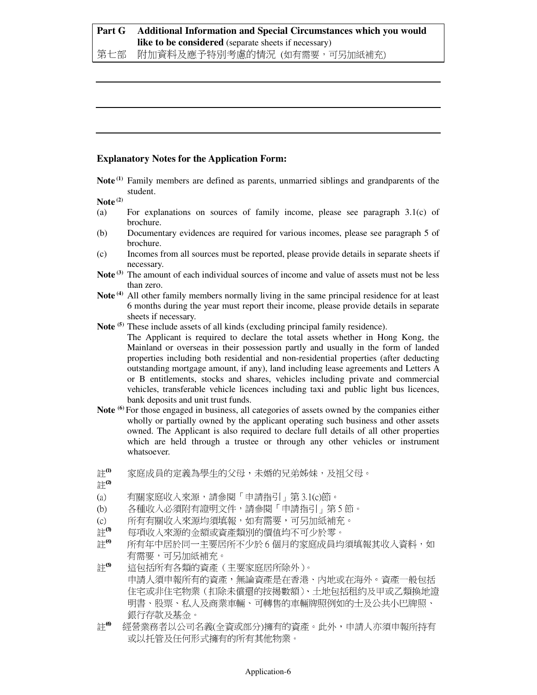#### **Part G Additional Information and Special Circumstances which you would like to be considered** (separate sheets if necessary) 第七部 附加資料及應予特別考慮的情況 (如有需要,可另加紙補充)

#### **Explanatory Notes for the Application Form:**

**Note (1)** Family members are defined as parents, unmarried siblings and grandparents of the student.

**Note (2)**

- (a) For explanations on sources of family income, please see paragraph 3.1(c) of brochure.
- (b) Documentary evidences are required for various incomes, please see paragraph 5 of brochure.
- (c) Incomes from all sources must be reported, please provide details in separate sheets if necessary.
- Note<sup>(3)</sup> The amount of each individual sources of income and value of assets must not be less than zero.
- Note<sup>(4)</sup> All other family members normally living in the same principal residence for at least 6 months during the year must report their income, please provide details in separate sheets if necessary.
- **Note (5)** These include assets of all kinds (excluding principal family residence).

 The Applicant is required to declare the total assets whether in Hong Kong, the Mainland or overseas in their possession partly and usually in the form of landed properties including both residential and non-residential properties (after deducting outstanding mortgage amount, if any), land including lease agreements and Letters A or B entitlements, stocks and shares, vehicles including private and commercial vehicles, transferable vehicle licences including taxi and public light bus licences, bank deposits and unit trust funds.

- **Note (6)** For those engaged in business, all categories of assets owned by the companies either wholly or partially owned by the applicant operating such business and other assets owned. The Applicant is also required to declare full details of all other properties which are held through a trustee or through any other vehicles or instrument whatsoever.
- 註<sup>0</sup> 家庭成員的定義為學生的父母,未婚的兄弟姊妹,及祖父母。

註(2)

- (a) 有關家庭收入來源,請參閱「申請指引」第 3.1(c)節。
- (b) 各種收入必須附有證明文件,請參閱「申請指引」第 5 節。
- (c) 所有有關收入來源均須填報,如有需要,可另加紙補充。
- 註<sup>6</sup> 每項收入來源的金額或資產類別的價值均不可少於零。
- 註<sup>6</sup> 所有年中居於同一主要居所不少於 6 個月的家庭成員均須填報其收入資料,如 有需要,可另加紙補充。

註(5) 這包括所有各類的資產(主要家庭居所除外)。 申請人須申報所有的資產,無論資產是在香港、內地或在海外。資產一般包括 住宅或非住宅物業(扣除未償還的按揭數額)、土地包括租約及甲或乙類換地證 明書、股票、私人及商業車輛、可轉售的車輛牌照例如的士及公共小巴牌照、 銀行存款及基金。

註<sup>6</sup> 經營業務者以公司名義(全資或部分)擁有的資產。此外,申請人亦須申報所持有 或以托管及任何形式擁有的所有其他物業。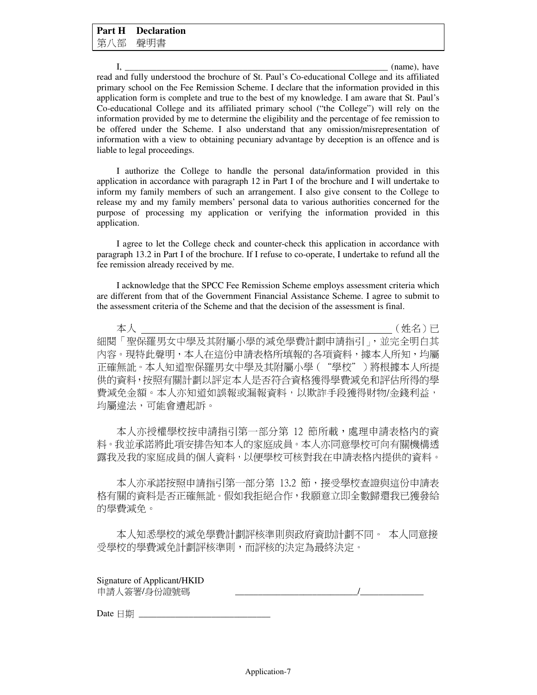$I,$   $(name), have$ read and fully understood the brochure of St. Paul's Co-educational College and its affiliated primary school on the Fee Remission Scheme. I declare that the information provided in this application form is complete and true to the best of my knowledge. I am aware that St. Paul's Co-educational College and its affiliated primary school ("the College") will rely on the information provided by me to determine the eligibility and the percentage of fee remission to be offered under the Scheme. I also understand that any omission/misrepresentation of information with a view to obtaining pecuniary advantage by deception is an offence and is liable to legal proceedings.

I authorize the College to handle the personal data/information provided in this application in accordance with paragraph 12 in Part I of the brochure and I will undertake to inform my family members of such an arrangement. I also give consent to the College to release my and my family members' personal data to various authorities concerned for the purpose of processing my application or verifying the information provided in this application.

I agree to let the College check and counter-check this application in accordance with paragraph 13.2 in Part I of the brochure. If I refuse to co-operate, I undertake to refund all the fee remission already received by me.

I acknowledge that the SPCC Fee Remission Scheme employs assessment criteria which are different from that of the Government Financial Assistance Scheme. I agree to submit to the assessment criteria of the Scheme and that the decision of the assessment is final.

 本人 \_\_\_\_\_\_\_\_\_\_\_\_\_\_\_\_\_\_\_\_\_\_\_\_\_\_\_\_\_\_\_\_\_\_\_\_\_\_\_\_\_\_\_\_\_\_\_\_\_\_\_\_\_\_(姓名)已 細閱「聖保羅男女中學及其附屬小學的減免學費計劃申請指引」,並完全明白其 內容。現特此聲明,本人在這份申請表格所填報的各項資料,據本人所知,均屬 正確無訛。本人知道聖保羅男女中學及其附屬小學("學校")將根據本人所提 供的資料,按照有關計劃以評定本人是否符合資格獲得學費減免和評估所得的學 費減免金額。本人亦知道如誤報或漏報資料,以欺詐手段獲得財物/金錢利益, 均屬違法,可能會遭起訴。

本人亦授權學校按申請指引第一部分第 12 節所載,處理申請表格內的資 料。我並承諾將此項安排告知本人的家庭成員。本人亦同意學校可向有關機構透 露我及我的家庭成員的個人資料,以便學校可核對我在申請表格內提供的資料。

本人亦承諾按照申請指引第一部分第 13.2 節,接受學校查證與這份申請表 格有關的資料是否正確無訛。假如我拒絕合作,我願意立即全數歸還我已獲發給 的學費減免。

本人知悉學校的減免學費計劃評核準則與政府資助計劃不同。 本人同意接 受學校的學費減免計劃評核準則,而評核的決定為最終決定。

Signature of Applicant/HKID 申請人簽署/身份證號碼

Date  $\Box$  期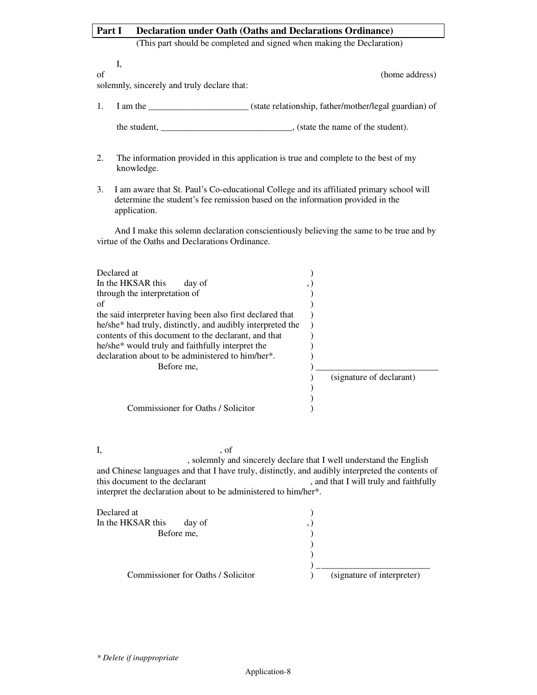## Part I Declaration under Oath (Oaths and Declarations Ordinance) (This part should be completed and signed when making the Declaration) I, of (home address) solemnly, sincerely and truly declare that:

- 1. I am the \_\_\_\_\_\_\_\_\_\_\_\_\_\_\_\_\_\_\_\_\_\_ (state relationship, father/mother/legal guardian) of the student, \_\_\_\_\_\_\_\_\_\_\_\_\_\_\_\_\_\_\_\_\_\_\_\_\_\_\_\_\_\_\_, (state the name of the student).
- 2. The information provided in this application is true and complete to the best of my knowledge.
- 3. I am aware that St. Paul's Co-educational College and its affiliated primary school will determine the student's fee remission based on the information provided in the application.

And I make this solemn declaration conscientiously believing the same to be true and by virtue of the Oaths and Declarations Ordinance.

| Declared at                                                            |                          |
|------------------------------------------------------------------------|--------------------------|
| In the HKSAR this<br>day of                                            |                          |
| through the interpretation of                                          |                          |
| of                                                                     |                          |
| the said interpreter having been also first declared that              |                          |
| he/she <sup>*</sup> had truly, distinctly, and audibly interpreted the |                          |
| contents of this document to the declarant, and that                   |                          |
| he/she <sup>*</sup> would truly and faithfully interpret the           |                          |
| declaration about to be administered to him/her*.                      |                          |
| Before me,                                                             |                          |
|                                                                        | (signature of declarant) |
|                                                                        |                          |
|                                                                        |                          |
| Commissioner for Oaths / Solicitor                                     |                          |

I,  $\qquad \qquad$  , of , solemnly and sincerely declare that I well understand the English and Chinese languages and that I have truly, distinctly, and audibly interpreted the contents of this document to the declarant , and that I will truly and faithfully interpret the declaration about to be administered to him/her\*.

| Declared at                        |  |                            |
|------------------------------------|--|----------------------------|
| In the HKSAR this<br>day of        |  |                            |
| Before me,                         |  |                            |
|                                    |  |                            |
|                                    |  |                            |
|                                    |  |                            |
| Commissioner for Oaths / Solicitor |  | (signature of interpreter) |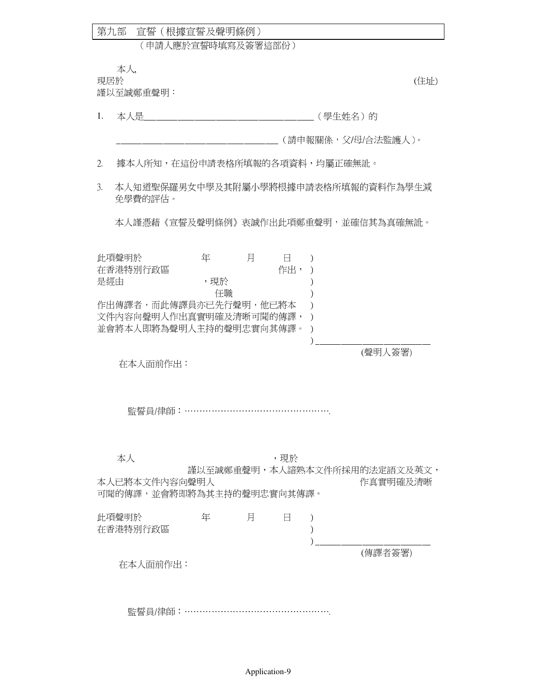|     | 本人,                                                                    |                |   |               |                                          |      |
|-----|------------------------------------------------------------------------|----------------|---|---------------|------------------------------------------|------|
| 現居於 | 謹以至誠鄭重聲明:                                                              |                |   |               |                                          | (住址) |
| 1.  | 本人是                                                                    |                |   |               | (學生姓名)的                                  |      |
|     |                                                                        |                |   |               | (請申報關係,父/母/合法監護人)。                       |      |
| 2.  | 據本人所知,在這份申請表格所填報的各項資料,均屬正確無訛。                                          |                |   |               |                                          |      |
| 3.  | 免學費的評估。                                                                |                |   |               | 本人知道聖保羅男女中學及其附屬小學將根據申請表格所填報的資料作為學生減      |      |
|     |                                                                        |                |   |               | 本人謹憑藉《宣誓及聲明條例》衷誠作出此項鄭重聲明,並確信其為真確無訛。      |      |
| 是經由 | 此項聲明於<br>在香港特別行政區<br>作出傳譯者,而此傳譯員亦已先行聲明,他已將本<br>文件內容向聲明人作出真實明確及清晰可聞的傳譯, | 年<br>,現於<br>任職 | 月 | $\Box$<br>作出, |                                          |      |
|     | 並會將本人即將為聲明人主持的聲明忠實向其傳譯。<br>在本人面前作出:                                    |                |   |               | (聲明人簽署)                                  |      |
|     | 監誓員/律師:…………………………………………                                                |                |   |               |                                          |      |
|     | 本人<br>本人已將本文件內容向聲明人<br>可聞的傳譯,並會將即將為其主持的聲明忠實向其傳譯。                       |                |   | ,現於           | 謹以至誠鄭重聲明,本人諳熟本文件所採用的法定語文及英文,<br>作真實明確及清晰 |      |
|     | 此項聲明於<br>在香港特別行政區                                                      | 年              | 月 | Ħ             |                                          |      |
|     | 在本人面前作出:                                                               |                |   |               | (傳譯者簽署)                                  |      |